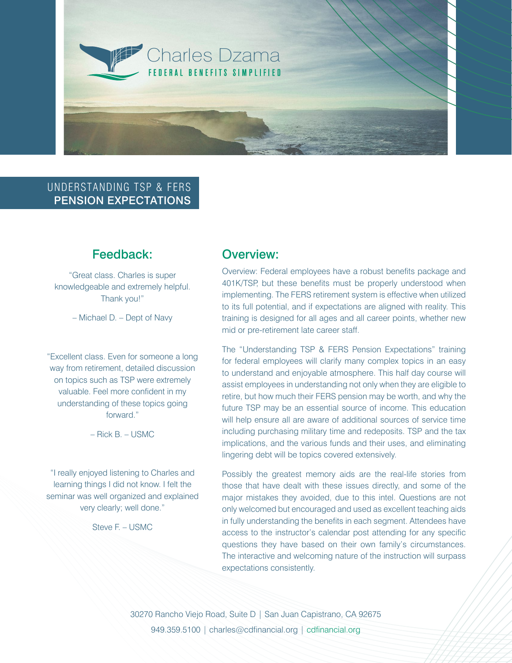

## UNDERSTANDING TSP & FERS PENSION EXPECTATIONS

## Feedback:

"Great class. Charles is super knowledgeable and extremely helpful. Thank you!"

– Michael D. – Dept of Navy

"Excellent class. Even for someone a long way from retirement, detailed discussion on topics such as TSP were extremely valuable. Feel more confident in my understanding of these topics going forward."

 $-$  Rick B $-$  USMC

"I really enjoyed listening to Charles and learning things I did not know. I felt the seminar was well organized and explained very clearly; well done."

Steve F. – USMC

# Overview:

Overview: Federal employees have a robust benefits package and 401K/TSP, but these benefits must be properly understood when implementing. The FERS retirement system is effective when utilized to its full potential, and if expectations are aligned with reality. This training is designed for all ages and all career points, whether new mid or pre-retirement late career staff.

The "Understanding TSP & FERS Pension Expectations" training for federal employees will clarify many complex topics in an easy to understand and enjoyable atmosphere. This half day course will assist employees in understanding not only when they are eligible to retire, but how much their FERS pension may be worth, and why the future TSP may be an essential source of income. This education will help ensure all are aware of additional sources of service time including purchasing military time and redeposits. TSP and the tax implications, and the various funds and their uses, and eliminating lingering debt will be topics covered extensively.

Possibly the greatest memory aids are the real-life stories from those that have dealt with these issues directly, and some of the major mistakes they avoided, due to this intel. Questions are not only welcomed but encouraged and used as excellent teaching aids in fully understanding the benefits in each segment. Attendees have access to the instructor's calendar post attending for any specific questions they have based on their own family's circumstances. The interactive and welcoming nature of the instruction will surpass expectations consistently.

30270 Rancho Viejo Road, Suite D | San Juan Capistrano, CA 92675 949.359.5100 | charles@cdfinancial.org | cdfinancial.org